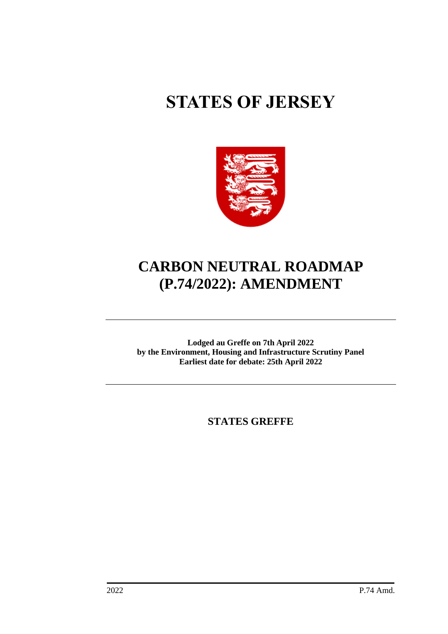# **STATES OF JERSEY**



# **CARBON NEUTRAL ROADMAP (P.74/2022): AMENDMENT**

**Lodged au Greffe on 7th April 2022 by the Environment, Housing and Infrastructure Scrutiny Panel Earliest date for debate: 25th April 2022**

**STATES GREFFE**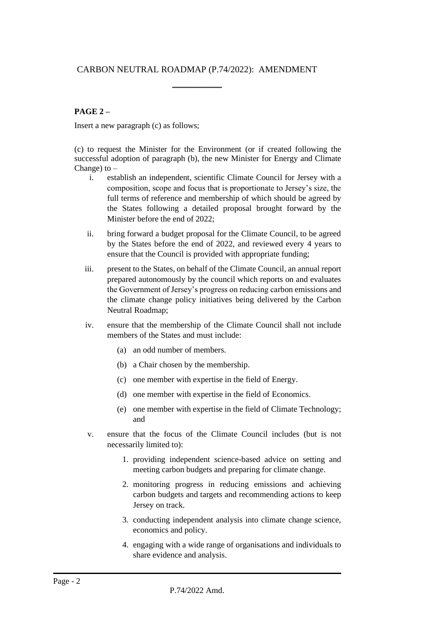# CARBON NEUTRAL ROADMAP (P.74/2022): AMENDMENT

\_\_\_\_\_\_\_\_\_\_\_\_

# **PAGE 2 –**

Insert a new paragraph (c) as follows;

(c) to request the Minister for the Environment (or if created following the successful adoption of paragraph (b), the new Minister for Energy and Climate Change) to –

- i. establish an independent, scientific Climate Council for Jersey with a composition, scope and focus that is proportionate to Jersey's size, the full terms of reference and membership of which should be agreed by the States following a detailed proposal brought forward by the Minister before the end of 2022;
- ii. bring forward a budget proposal for the Climate Council, to be agreed by the States before the end of 2022, and reviewed every 4 years to ensure that the Council is provided with appropriate funding;
- iii. present to the States, on behalf of the Climate Council, an annual report prepared autonomously by the council which reports on and evaluates the Government of Jersey's progress on reducing carbon emissions and the climate change policy initiatives being delivered by the Carbon Neutral Roadmap;
- iv. ensure that the membership of the Climate Council shall not include members of the States and must include:
	- (a) an odd number of members.
	- (b) a Chair chosen by the membership.
	- (c) one member with expertise in the field of Energy.
	- (d) one member with expertise in the field of Economics.
	- (e) one member with expertise in the field of Climate Technology; and
- v. ensure that the focus of the Climate Council includes (but is not necessarily limited to):
	- 1. providing independent science-based advice on setting and meeting carbon budgets and preparing for climate change.
	- 2. monitoring progress in reducing emissions and achieving carbon budgets and targets and recommending actions to keep Jersey on track.
	- 3. conducting independent analysis into climate change science, economics and policy.
	- 4. engaging with a wide range of organisations and individuals to share evidence and analysis.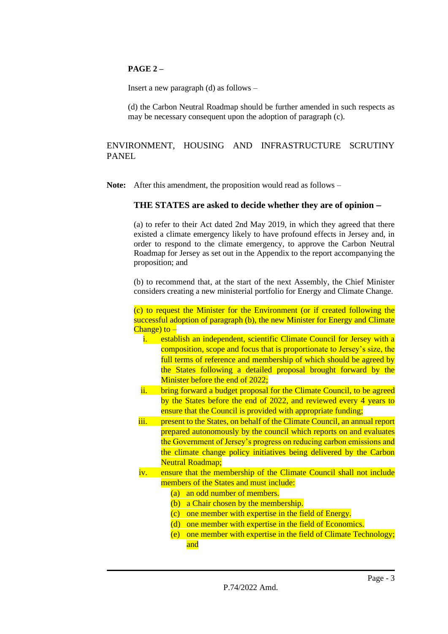# **PAGE 2 –**

Insert a new paragraph (d) as follows –

(d) the Carbon Neutral Roadmap should be further amended in such respects as may be necessary consequent upon the adoption of paragraph (c).

# ENVIRONMENT, HOUSING AND INFRASTRUCTURE SCRUTINY PANEL

**Note:** After this amendment, the proposition would read as follows –

# **THE STATES are asked to decide whether they are of opinion** −

(a) to refer to their Act dated 2nd May 2019, in which they agreed that there existed a climate emergency likely to have profound effects in Jersey and, in order to respond to the climate emergency, to approve the Carbon Neutral Roadmap for Jersey as set out in the Appendix to the report accompanying the proposition; and

(b) to recommend that, at the start of the next Assembly, the Chief Minister considers creating a new ministerial portfolio for Energy and Climate Change.

(c) to request the Minister for the Environment (or if created following the successful adoption of paragraph (b), the new Minister for Energy and Climate Change) to –

- i. establish an independent, scientific Climate Council for Jersey with a composition, scope and focus that is proportionate to Jersey's size, the full terms of reference and membership of which should be agreed by the States following a detailed proposal brought forward by the Minister before the end of 2022;
- ii. bring forward a budget proposal for the Climate Council, to be agreed by the States before the end of 2022, and reviewed every 4 years to ensure that the Council is provided with appropriate funding;
- iii. present to the States, on behalf of the Climate Council, an annual report prepared autonomously by the council which reports on and evaluates the Government of Jersey's progress on reducing carbon emissions and the climate change policy initiatives being delivered by the Carbon Neutral Roadmap;
- iv. ensure that the membership of the Climate Council shall not include members of the States and must include:
	- (a) an odd number of members.
	- (b) a Chair chosen by the membership.
	- (c) one member with expertise in the field of Energy.
	- (d) one member with expertise in the field of Economics.
	- (e) one member with expertise in the field of Climate Technology; and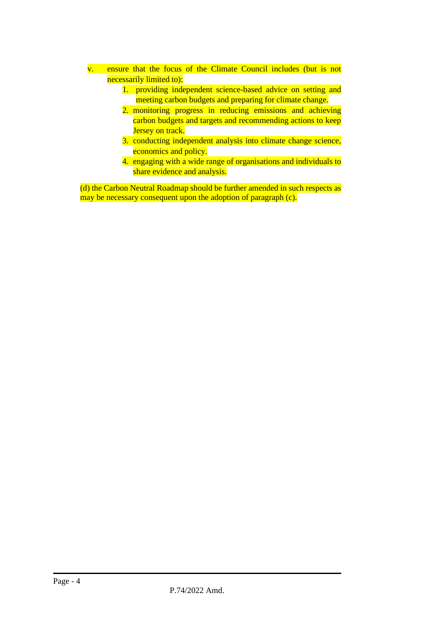- v. ensure that the focus of the Climate Council includes (but is not necessarily limited to):
	- 1. providing independent science-based advice on setting and meeting carbon budgets and preparing for climate change.
	- 2. monitoring progress in reducing emissions and achieving carbon budgets and targets and recommending actions to keep Jersey on track.
	- 3. conducting independent analysis into climate change science, economics and policy.
	- 4. engaging with a wide range of organisations and individuals to share evidence and analysis.

(d) the Carbon Neutral Roadmap should be further amended in such respects as may be necessary consequent upon the adoption of paragraph (c).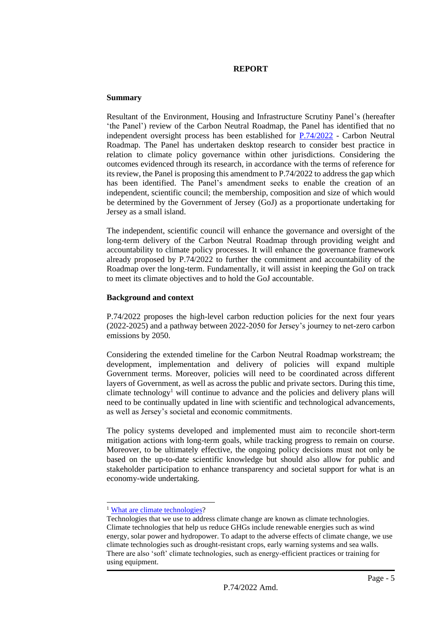#### **REPORT**

#### **Summary**

Resultant of the Environment, Housing and Infrastructure Scrutiny Panel's (hereafter 'the Panel') review of the Carbon Neutral Roadmap, the Panel has identified that no independent oversight process has been established for  $P.74/2022$  - Carbon Neutral Roadmap. The Panel has undertaken desktop research to consider best practice in relation to climate policy governance within other jurisdictions. Considering the outcomes evidenced through its research, in accordance with the terms of reference for its review, the Panel is proposing this amendment to P.74/2022 to address the gap which has been identified. The Panel's amendment seeks to enable the creation of an independent, scientific council; the membership, composition and size of which would be determined by the Government of Jersey (GoJ) as a proportionate undertaking for Jersey as a small island.

The independent, scientific council will enhance the governance and oversight of the long-term delivery of the Carbon Neutral Roadmap through providing weight and accountability to climate policy processes. It will enhance the governance framework already proposed by P.74/2022 to further the commitment and accountability of the Roadmap over the long-term. Fundamentally, it will assist in keeping the GoJ on track to meet its climate objectives and to hold the GoJ accountable.

# **Background and context**

P.74/2022 proposes the high-level carbon reduction policies for the next four years (2022-2025) and a pathway between 2022-2050 for Jersey's journey to net-zero carbon emissions by 2050.

Considering the extended timeline for the Carbon Neutral Roadmap workstream; the development, implementation and delivery of policies will expand multiple Government terms. Moreover, policies will need to be coordinated across different layers of Government, as well as across the public and private sectors. During this time, climate technology<sup>1</sup> will continue to advance and the policies and delivery plans will need to be continually updated in line with scientific and technological advancements, as well as Jersey's societal and economic commitments.

The policy systems developed and implemented must aim to reconcile short-term mitigation actions with long-term goals, while tracking progress to remain on course. Moreover, to be ultimately effective, the ongoing policy decisions must not only be based on the up-to-date scientific knowledge but should also allow for public and stakeholder participation to enhance transparency and societal support for what is an economy-wide undertaking.

<sup>&</sup>lt;sup>1</sup> [What are climate technologies?](https://unfccc.int/topics/climate-technology/the-big-picture/what-is-technology-development-and-transfer)

Technologies that we use to address climate change are known as climate technologies. Climate technologies that help us reduce GHGs include renewable energies such as wind energy, solar power and hydropower. To adapt to the adverse effects of climate change, we use climate technologies such as drought-resistant crops, early warning systems and sea walls. There are also 'soft' climate technologies, such as energy-efficient practices or training for using equipment.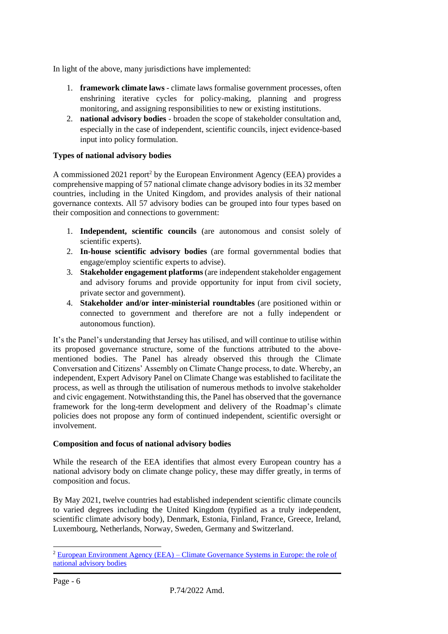In light of the above, many jurisdictions have implemented:

- 1. **framework climate laws** climate laws formalise government processes, often enshrining iterative cycles for policy-making, planning and progress monitoring, and assigning responsibilities to new or existing institutions.
- 2. **national advisory bodies** broaden the scope of stakeholder consultation and, especially in the case of independent, scientific councils, inject evidence-based input into policy formulation.

# **Types of national advisory bodies**

A commissioned 2021 report<sup>2</sup> by the European Environment Agency (EEA) provides a comprehensive mapping of 57 national climate change advisory bodies in its 32 member countries, including in the United Kingdom, and provides analysis of their national governance contexts. All 57 advisory bodies can be grouped into four types based on their composition and connections to government:

- 1. **Independent, scientific councils** (are autonomous and consist solely of scientific experts).
- 2. **In-house scientific advisory bodies** (are formal governmental bodies that engage/employ scientific experts to advise).
- 3. **Stakeholder engagement platforms** (are independent stakeholder engagement and advisory forums and provide opportunity for input from civil society, private sector and government).
- 4. **Stakeholder and/or inter-ministerial roundtables** (are positioned within or connected to government and therefore are not a fully independent or autonomous function).

It's the Panel's understanding that Jersey has utilised, and will continue to utilise within its proposed governance structure, some of the functions attributed to the abovementioned bodies. The Panel has already observed this through the Climate Conversation and Citizens' Assembly on Climate Change process, to date. Whereby, an independent, Expert Advisory Panel on Climate Change was established to facilitate the process, as well as through the utilisation of numerous methods to involve stakeholder and civic engagement. Notwithstanding this, the Panel has observed that the governance framework for the long-term development and delivery of the Roadmap's climate policies does not propose any form of continued independent, scientific oversight or involvement.

# **Composition and focus of national advisory bodies**

While the research of the EEA identifies that almost every European country has a national advisory body on climate change policy, these may differ greatly, in terms of composition and focus.

By May 2021, twelve countries had established independent scientific climate councils to varied degrees including the United Kingdom (typified as a truly independent, scientific climate advisory body), Denmark, Estonia, Finland, France, Greece, Ireland, Luxembourg, Netherlands, Norway, Sweden, Germany and Switzerland.

<sup>&</sup>lt;sup>2</sup> European Environment Agency (EEA) – Climate Governance Systems in Europe: the role of [national advisory bodies](https://www.ecologic.eu/sites/default/files/publication/2021/Evans-Duwe-Climate-governance-in-Europe-the-role-of-national-advisory-bodies-2021-Ecologic-Institute.pdf)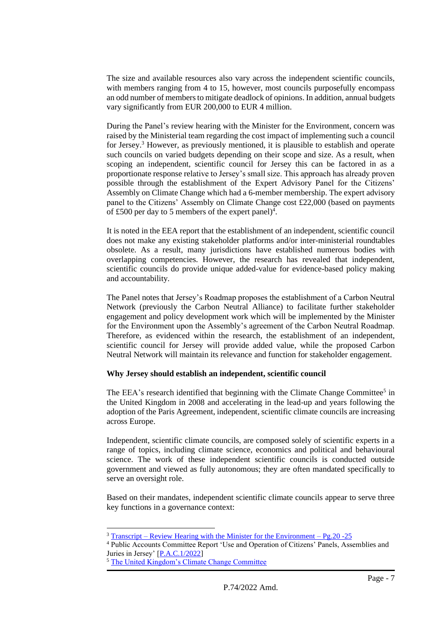The size and available resources also vary across the independent scientific councils, with members ranging from 4 to 15, however, most councils purposefully encompass an odd number of members to mitigate deadlock of opinions. In addition, annual budgets vary significantly from EUR 200,000 to EUR 4 million.

During the Panel's review hearing with the Minister for the Environment, concern was raised by the Ministerial team regarding the cost impact of implementing such a council for Jersey.<sup>3</sup> However, as previously mentioned, it is plausible to establish and operate such councils on varied budgets depending on their scope and size. As a result, when scoping an independent, scientific council for Jersey this can be factored in as a proportionate response relative to Jersey's small size. This approach has already proven possible through the establishment of the Expert Advisory Panel for the Citizens' Assembly on Climate Change which had a 6-member membership. The expert advisory panel to the Citizens' Assembly on Climate Change cost £22,000 (based on payments of £500 per day to 5 members of the expert panel)<sup>4</sup>.

It is noted in the EEA report that the establishment of an independent, scientific council does not make any existing stakeholder platforms and/or inter-ministerial roundtables obsolete. As a result, many jurisdictions have established numerous bodies with overlapping competencies. However, the research has revealed that independent, scientific councils do provide unique added-value for evidence-based policy making and accountability.

The Panel notes that Jersey's Roadmap proposes the establishment of a Carbon Neutral Network (previously the Carbon Neutral Alliance) to facilitate further stakeholder engagement and policy development work which will be implemented by the Minister for the Environment upon the Assembly's agreement of the Carbon Neutral Roadmap. Therefore, as evidenced within the research, the establishment of an independent, scientific council for Jersey will provide added value, while the proposed Carbon Neutral Network will maintain its relevance and function for stakeholder engagement.

# **Why Jersey should establish an independent, scientific council**

The EEA's research identified that beginning with the [Climate Change Committee](https://www.theccc.org.uk/)<sup>5</sup> in the United Kingdom in 2008 and accelerating in the lead-up and years following the adoption of the Paris Agreement, independent, scientific climate councils are increasing across Europe.

Independent, scientific climate councils, are composed solely of scientific experts in a range of topics, including climate science, economics and political and behavioural science. The work of these independent scientific councils is conducted outside government and viewed as fully autonomous; they are often mandated specifically to serve an oversight role.

Based on their mandates, independent scientific climate councils appear to serve three key functions in a governance context:

 $3$  Transcript – [Review Hearing with the Minister for the Environment –](https://statesassembly.gov.je/scrutinyreviewtranscripts/2022/transcript%20-%20draft%20carbon%20neutral%20roadmap%20review%20-%20minister%20for%20the%20environment%20-%208%20march%202022.pdf) Pg.20 - 25

<sup>4</sup> Public Accounts Committee Report 'Use and Operation of Citizens' Panels, Assemblies and Juries in Jersey' [\[P.A.C.1/2022\]](https://statesassembly.gov.je/scrutinyreports/2022/p.a.c.1%202022%20-%20use%20and%20operation%20of%20citizens)

<sup>5</sup> [The United Kingdom's Climate Change Committee](https://www.theccc.org.uk/)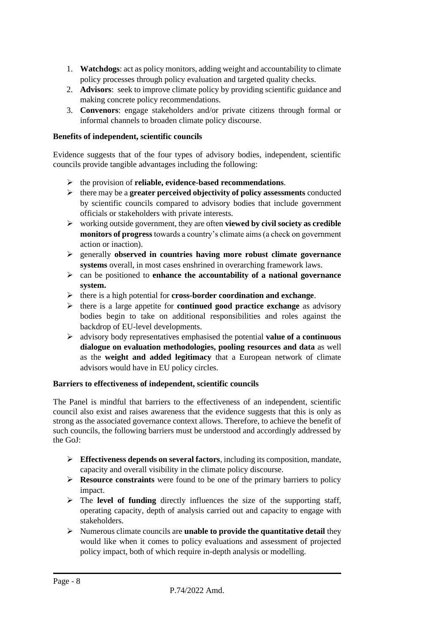- 1. **Watchdogs**: act as policy monitors, adding weight and accountability to climate policy processes through policy evaluation and targeted quality checks.
- 2. **Advisors**: seek to improve climate policy by providing scientific guidance and making concrete policy recommendations.
- 3. **Convenors**: engage stakeholders and/or private citizens through formal or informal channels to broaden climate policy discourse.

# **Benefits of independent, scientific councils**

Evidence suggests that of the four types of advisory bodies, independent, scientific councils provide tangible advantages including the following:

- ➢ the provision of **reliable, evidence-based recommendations**.
- ➢ there may be a **greater perceived objectivity of policy assessments** conducted by scientific councils compared to advisory bodies that include government officials or stakeholders with private interests.
- ➢ working outside government, they are often **viewed by civil society as credible monitors of progress** towards a country's climate aims (a check on government action or inaction).
- ➢ generally **observed in countries having more robust climate governance systems** overall, in most cases enshrined in overarching framework laws.
- ➢ can be positioned to **enhance the accountability of a national governance system.**
- ➢ there is a high potential for **cross-border coordination and exchange**.
- ➢ there is a large appetite for **continued good practice exchange** as advisory bodies begin to take on additional responsibilities and roles against the backdrop of EU-level developments.
- ➢ advisory body representatives emphasised the potential **value of a continuous dialogue on evaluation methodologies, pooling resources and data** as well as the **weight and added legitimacy** that a European network of climate advisors would have in EU policy circles.

# **Barriers to effectiveness of independent, scientific councils**

The Panel is mindful that barriers to the effectiveness of an independent, scientific council also exist and raises awareness that the evidence suggests that this is only as strong as the associated governance context allows. Therefore, to achieve the benefit of such councils, the following barriers must be understood and accordingly addressed by the GoJ:

- ➢ **Effectiveness depends on several factors**, including its composition, mandate, capacity and overall visibility in the climate policy discourse.
- ➢ **Resource constraints** were found to be one of the primary barriers to policy impact.
- ➢ The **level of funding** directly influences the size of the supporting staff, operating capacity, depth of analysis carried out and capacity to engage with stakeholders.
- ➢ Numerous climate councils are **unable to provide the quantitative detail** they would like when it comes to policy evaluations and assessment of projected policy impact, both of which require in-depth analysis or modelling.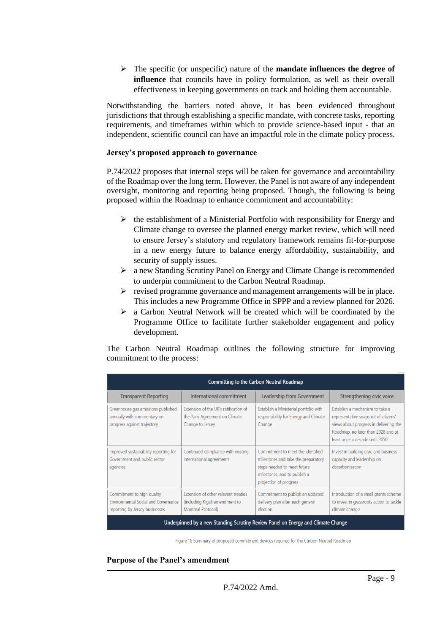➢ The specific (or unspecific) nature of the **mandate influences the degree of influence** that councils have in policy formulation, as well as their overall effectiveness in keeping governments on track and holding them accountable.

Notwithstanding the barriers noted above, it has been evidenced throughout jurisdictions that through establishing a specific mandate, with concrete tasks, reporting requirements, and timeframes within which to provide science-based input - that an independent, scientific council can have an impactful role in the climate policy process.

#### **Jersey's proposed approach to governance**

P.74/2022 proposes that internal steps will be taken for governance and accountability of the Roadmap over the long term. However, the Panel is not aware of any independent oversight, monitoring and reporting being proposed. Though, the following is being proposed within the Roadmap to enhance commitment and accountability:

- $\triangleright$  the establishment of a Ministerial Portfolio with responsibility for Energy and Climate change to oversee the planned energy market review, which will need to ensure Jersey's statutory and regulatory framework remains fit-for-purpose in a new energy future to balance energy affordability, sustainability, and security of supply issues.
- ➢ a new Standing Scrutiny Panel on Energy and Climate Change is recommended to underpin commitment to the Carbon Neutral Roadmap.
- $\triangleright$  revised programme governance and management arrangements will be in place. This includes a new Programme Office in SPPP and a review planned for 2026.
- ➢ a Carbon Neutral Network will be created which will be coordinated by the Programme Office to facilitate further stakeholder engagement and policy development.

The Carbon Neutral Roadmap outlines the following structure for improving commitment to the process:

| <b>Committing to the Carbon Neutral Roadmap</b>                                                            |                                                                                                     |                                                                                                                                                                   |                                                                                                                                                                                           |
|------------------------------------------------------------------------------------------------------------|-----------------------------------------------------------------------------------------------------|-------------------------------------------------------------------------------------------------------------------------------------------------------------------|-------------------------------------------------------------------------------------------------------------------------------------------------------------------------------------------|
| <b>Transparent Reporting</b>                                                                               | International commitment                                                                            | Leadership from Government                                                                                                                                        | Strengthening civic voice                                                                                                                                                                 |
| Greenhouse gas emissions published<br>annually with commentary on<br>progress against trajectory           | Extension of the UK's ratification of<br>the Paris Agreement on Climate<br>Change to Jersey         | Establish a Ministerial portfolio with<br>responsibility for Energy and Climate<br>Change                                                                         | Establish a mechanism to take a<br>representative snapshot of citizens'<br>views about progress in delivering the<br>Roadmap, no later than 2028 and at<br>least once a decade until 2050 |
| Improved sustainability reporting for<br>Government and public sector<br>agencies                          | Continued compliance with existing<br>international agreements                                      | Commitment to meet the identified<br>milestones and take the preparatory<br>steps needed to meet future<br>milestones, and to publish a<br>projection of progress | Invest in building civic and business<br>capacity and leadership on<br>decarbonisation                                                                                                    |
| Commitment to high quality<br><b>Environmental Social and Governance</b><br>reporting by Jersey businesses | Extension of other relevant treaties<br>(including Kigali amendment to<br><b>Montreal Protocol)</b> | Commitment to publish an updated<br>delivery plan after each general<br>election                                                                                  | Introduction of a small grants scheme<br>to invest in grassroots action to tackle<br>climate change                                                                                       |
| Underpinned by a new Standing Scrutiny Review Panel on Energy and Climate Change                           |                                                                                                     |                                                                                                                                                                   |                                                                                                                                                                                           |

Figure 11: Summary of proposed commitment devices required for the Carbon Neutral Roadmap

#### **Purpose of the Panel's amendment**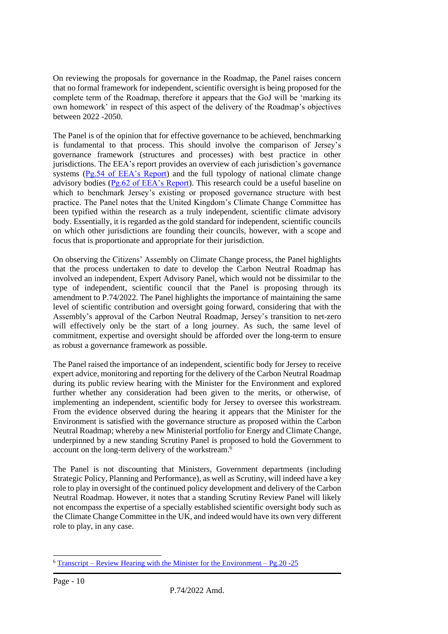On reviewing the proposals for governance in the Roadmap, the Panel raises concern that no formal framework for independent, scientific oversight is being proposed for the complete term of the Roadmap, therefore it appears that the GoJ will be 'marking its own homework' in respect of this aspect of the delivery of the Roadmap's objectives between 2022 -2050.

The Panel is of the opinion that for effective governance to be achieved, benchmarking is fundamental to that process. This should involve the comparison of Jersey's governance framework (structures and processes) with best practice in other jurisdictions. The EEA's report provides an overview of each jurisdiction's governance systems [\(Pg.54 of EEA's Report\)](https://www.ecologic.eu/sites/default/files/publication/2021/Evans-Duwe-Climate-governance-in-Europe-the-role-of-national-advisory-bodies-2021-Ecologic-Institute.pdf) and the full typology of national climate change advisory bodies [\(Pg.62 of EEA's Report\)](https://www.ecologic.eu/sites/default/files/publication/2021/Evans-Duwe-Climate-governance-in-Europe-the-role-of-national-advisory-bodies-2021-Ecologic-Institute.pdf). This research could be a useful baseline on which to benchmark Jersey's existing or proposed governance structure with best practice. The Panel notes that the United Kingdom's Climate Change Committee has been typified within the research as a truly independent, scientific climate advisory body. Essentially, it is regarded as the gold standard for independent, scientific councils on which other jurisdictions are founding their councils, however, with a scope and focus that is proportionate and appropriate for their jurisdiction.

On observing the Citizens' Assembly on Climate Change process, the Panel highlights that the process undertaken to date to develop the Carbon Neutral Roadmap has involved an independent, Expert Advisory Panel, which would not be dissimilar to the type of independent, scientific council that the Panel is proposing through its amendment to P.74/2022. The Panel highlights the importance of maintaining the same level of scientific contribution and oversight going forward, considering that with the Assembly's approval of the Carbon Neutral Roadmap, Jersey's transition to net-zero will effectively only be the start of a long journey. As such, the same level of commitment, expertise and oversight should be afforded over the long-term to ensure as robust a governance framework as possible.

The Panel raised the importance of an independent, scientific body for Jersey to receive expert advice, monitoring and reporting for the delivery of the Carbon Neutral Roadmap during its public review hearing with the Minister for the Environment and explored further whether any consideration had been given to the merits, or otherwise, of implementing an independent, scientific body for Jersey to oversee this workstream. From the evidence observed during the hearing it appears that the Minister for the Environment is satisfied with the governance structure as proposed within the Carbon Neutral Roadmap; whereby a new Ministerial portfolio for Energy and Climate Change, underpinned by a new standing Scrutiny Panel is proposed to hold the Government to account on the long-term delivery of the workstream.<sup>6</sup>

The Panel is not discounting that Ministers, Government departments (including Strategic Policy, Planning and Performance), as well as Scrutiny, will indeed have a key role to play in oversight of the continued policy development and delivery of the Carbon Neutral Roadmap. However, it notes that a standing Scrutiny Review Panel will likely not encompass the expertise of a specially established scientific oversight body such as the Climate Change Committee in the UK, and indeed would have its own very different role to play, in any case.

 $6$  Transcript – [Review Hearing with the Minister for the Environment –](https://statesassembly.gov.je/scrutinyreviewtranscripts/2022/transcript%20-%20draft%20carbon%20neutral%20roadmap%20review%20-%20minister%20for%20the%20environment%20-%208%20march%202022.pdf) Pg. 20 - 25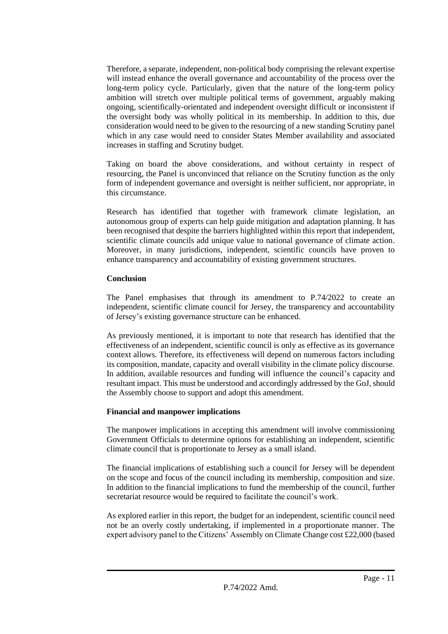Therefore, a separate, independent, non-political body comprising the relevant expertise will instead enhance the overall governance and accountability of the process over the long-term policy cycle. Particularly, given that the nature of the long-term policy ambition will stretch over multiple political terms of government, arguably making ongoing, scientifically-orientated and independent oversight difficult or inconsistent if the oversight body was wholly political in its membership. In addition to this, due consideration would need to be given to the resourcing of a new standing Scrutiny panel which in any case would need to consider States Member availability and associated increases in staffing and Scrutiny budget.

Taking on board the above considerations, and without certainty in respect of resourcing, the Panel is unconvinced that reliance on the Scrutiny function as the only form of independent governance and oversight is neither sufficient, nor appropriate, in this circumstance.

Research has identified that together with framework climate legislation, an autonomous group of experts can help guide mitigation and adaptation planning. It has been recognised that despite the barriers highlighted within this report that independent, scientific climate councils add unique value to national governance of climate action. Moreover, in many jurisdictions, independent, scientific councils have proven to enhance transparency and accountability of existing government structures.

# **Conclusion**

The Panel emphasises that through its amendment to P.74/2022 to create an independent, scientific climate council for Jersey, the transparency and accountability of Jersey's existing governance structure can be enhanced.

As previously mentioned, it is important to note that research has identified that the effectiveness of an independent, scientific council is only as effective as its governance context allows. Therefore, its effectiveness will depend on numerous factors including its composition, mandate, capacity and overall visibility in the climate policy discourse. In addition, available resources and funding will influence the council's capacity and resultant impact. This must be understood and accordingly addressed by the GoJ, should the Assembly choose to support and adopt this amendment.

# **Financial and manpower implications**

The manpower implications in accepting this amendment will involve commissioning Government Officials to determine options for establishing an independent, scientific climate council that is proportionate to Jersey as a small island.

The financial implications of establishing such a council for Jersey will be dependent on the scope and focus of the council including its membership, composition and size. In addition to the financial implications to fund the membership of the council, further secretariat resource would be required to facilitate the council's work.

As explored earlier in this report, the budget for an independent, scientific council need not be an overly costly undertaking, if implemented in a proportionate manner. The expert advisory panel to the Citizens' Assembly on Climate Change cost £22,000 (based